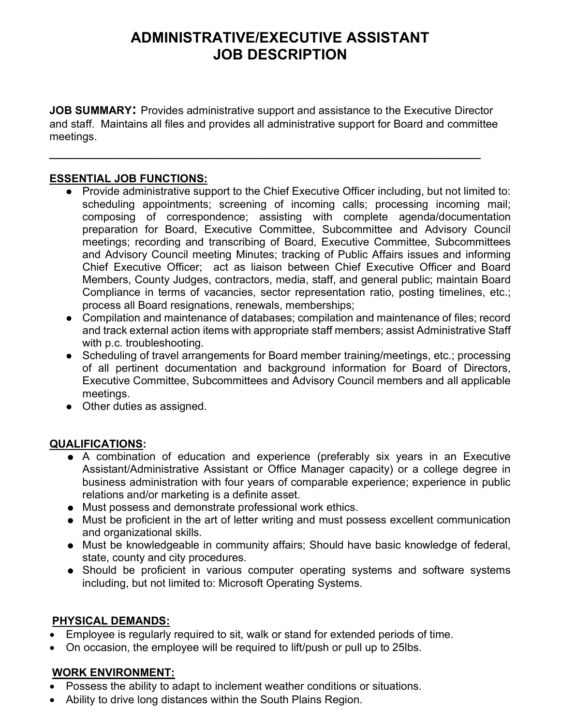# ADMINISTRATIVE/EXECUTIVE ASSISTANT JOB DESCRIPTION

JOB SUMMARY: Provides administrative support and assistance to the Executive Director and staff. Maintains all files and provides all administrative support for Board and committee meetings.

 $\mathcal{L}_\text{max}$  , and the contract of the contract of the contract of the contract of the contract of the contract of the contract of the contract of the contract of the contract of the contract of the contract of the contr

#### ESSENTIAL JOB FUNCTIONS:

- Provide administrative support to the Chief Executive Officer including, but not limited to: scheduling appointments; screening of incoming calls; processing incoming mail; composing of correspondence; assisting with complete agenda/documentation preparation for Board, Executive Committee, Subcommittee and Advisory Council meetings; recording and transcribing of Board, Executive Committee, Subcommittees and Advisory Council meeting Minutes; tracking of Public Affairs issues and informing Chief Executive Officer; act as liaison between Chief Executive Officer and Board Members, County Judges, contractors, media, staff, and general public; maintain Board Compliance in terms of vacancies, sector representation ratio, posting timelines, etc.; process all Board resignations, renewals, memberships;
- Compilation and maintenance of databases; compilation and maintenance of files; record and track external action items with appropriate staff members; assist Administrative Staff with p.c. troubleshooting.
- Scheduling of travel arrangements for Board member training/meetings, etc.; processing of all pertinent documentation and background information for Board of Directors, Executive Committee, Subcommittees and Advisory Council members and all applicable meetings.
- Other duties as assigned.

## QUALIFICATIONS:

- A combination of education and experience (preferably six years in an Executive Assistant/Administrative Assistant or Office Manager capacity) or a college degree in business administration with four years of comparable experience; experience in public relations and/or marketing is a definite asset.
- Must possess and demonstrate professional work ethics.
- Must be proficient in the art of letter writing and must possess excellent communication and organizational skills.
- Must be knowledgeable in community affairs; Should have basic knowledge of federal, state, county and city procedures.
- Should be proficient in various computer operating systems and software systems including, but not limited to: Microsoft Operating Systems.

## PHYSICAL DEMANDS:

- Employee is regularly required to sit, walk or stand for extended periods of time.
- On occasion, the employee will be required to lift/push or pull up to 25lbs.

## WORK ENVIRONMENT:

- Possess the ability to adapt to inclement weather conditions or situations.
- Ability to drive long distances within the South Plains Region.